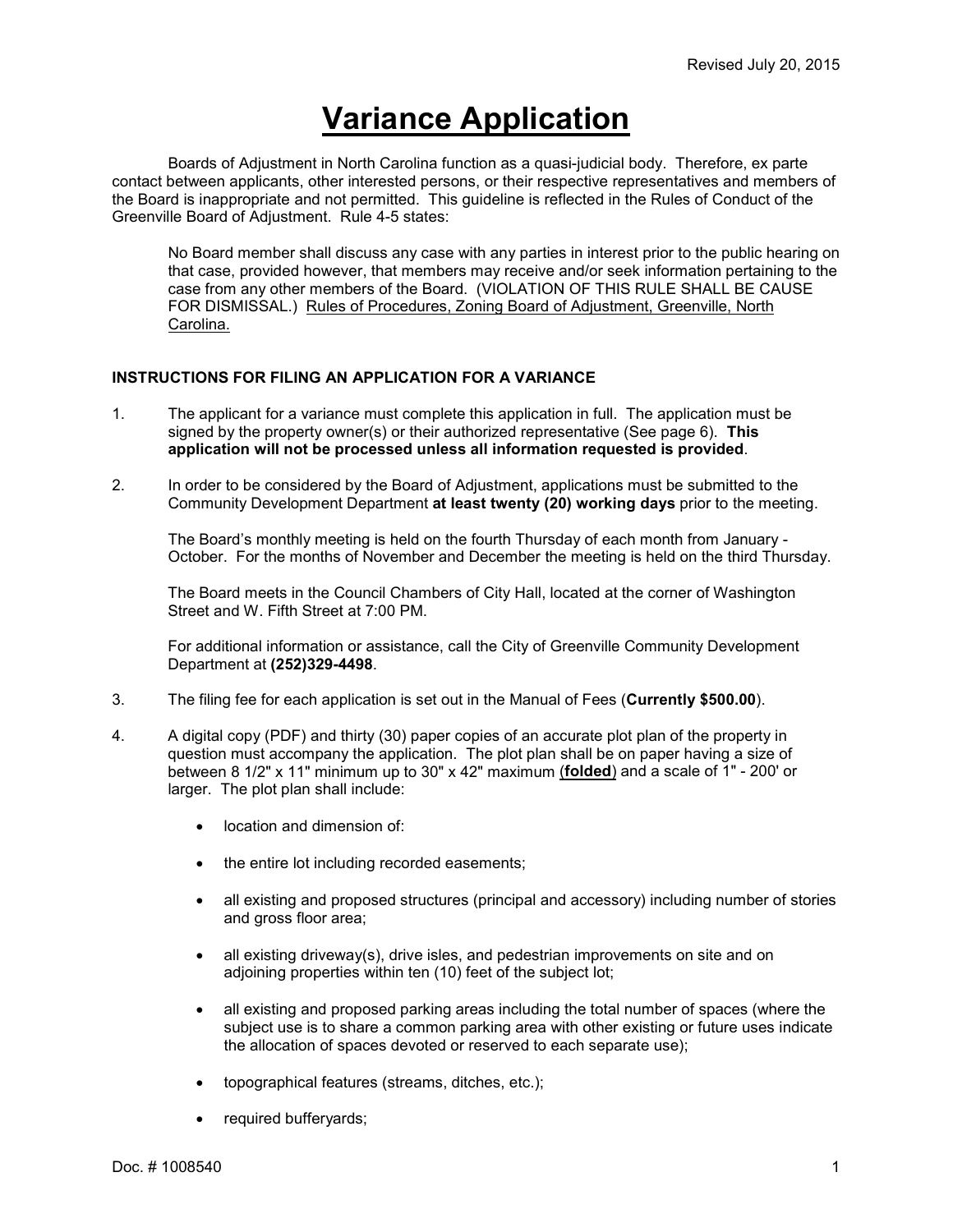# **Variance Application**

Boards of Adjustment in North Carolina function as a quasi-judicial body. Therefore, ex parte contact between applicants, other interested persons, or their respective representatives and members of the Board is inappropriate and not permitted. This guideline is reflected in the Rules of Conduct of the Greenville Board of Adjustment. Rule 4-5 states:

No Board member shall discuss any case with any parties in interest prior to the public hearing on that case, provided however, that members may receive and/or seek information pertaining to the case from any other members of the Board. (VIOLATION OF THIS RULE SHALL BE CAUSE FOR DISMISSAL.) Rules of Procedures, Zoning Board of Adjustment, Greenville, North Carolina.

### **INSTRUCTIONS FOR FILING AN APPLICATION FOR A VARIANCE**

- 1. The applicant for a variance must complete this application in full. The application must be signed by the property owner(s) or their authorized representative (See page 6). **This application will not be processed unless all information requested is provided**.
- 2. In order to be considered by the Board of Adjustment, applications must be submitted to the Community Development Department **at least twenty (20) working days** prior to the meeting.

The Board's monthly meeting is held on the fourth Thursday of each month from January - October. For the months of November and December the meeting is held on the third Thursday.

The Board meets in the Council Chambers of City Hall, located at the corner of Washington Street and W. Fifth Street at 7:00 PM.

For additional information or assistance, call the City of Greenville Community Development Department at **(252)329-4498**.

- 3. The filing fee for each application is set out in the Manual of Fees (**Currently \$500.00**).
- 4. A digital copy (PDF) and thirty (30) paper copies of an accurate plot plan of the property in question must accompany the application. The plot plan shall be on paper having a size of between 8 1/2" x 11" minimum up to 30" x 42" maximum (**folded**) and a scale of 1" - 200' or larger. The plot plan shall include:
	- location and dimension of:
	- the entire lot including recorded easements;
	- all existing and proposed structures (principal and accessory) including number of stories and gross floor area;
	- all existing driveway(s), drive isles, and pedestrian improvements on site and on adjoining properties within ten (10) feet of the subject lot;
	- all existing and proposed parking areas including the total number of spaces (where the subject use is to share a common parking area with other existing or future uses indicate the allocation of spaces devoted or reserved to each separate use);
	- topographical features (streams, ditches, etc.);
	- required bufferyards;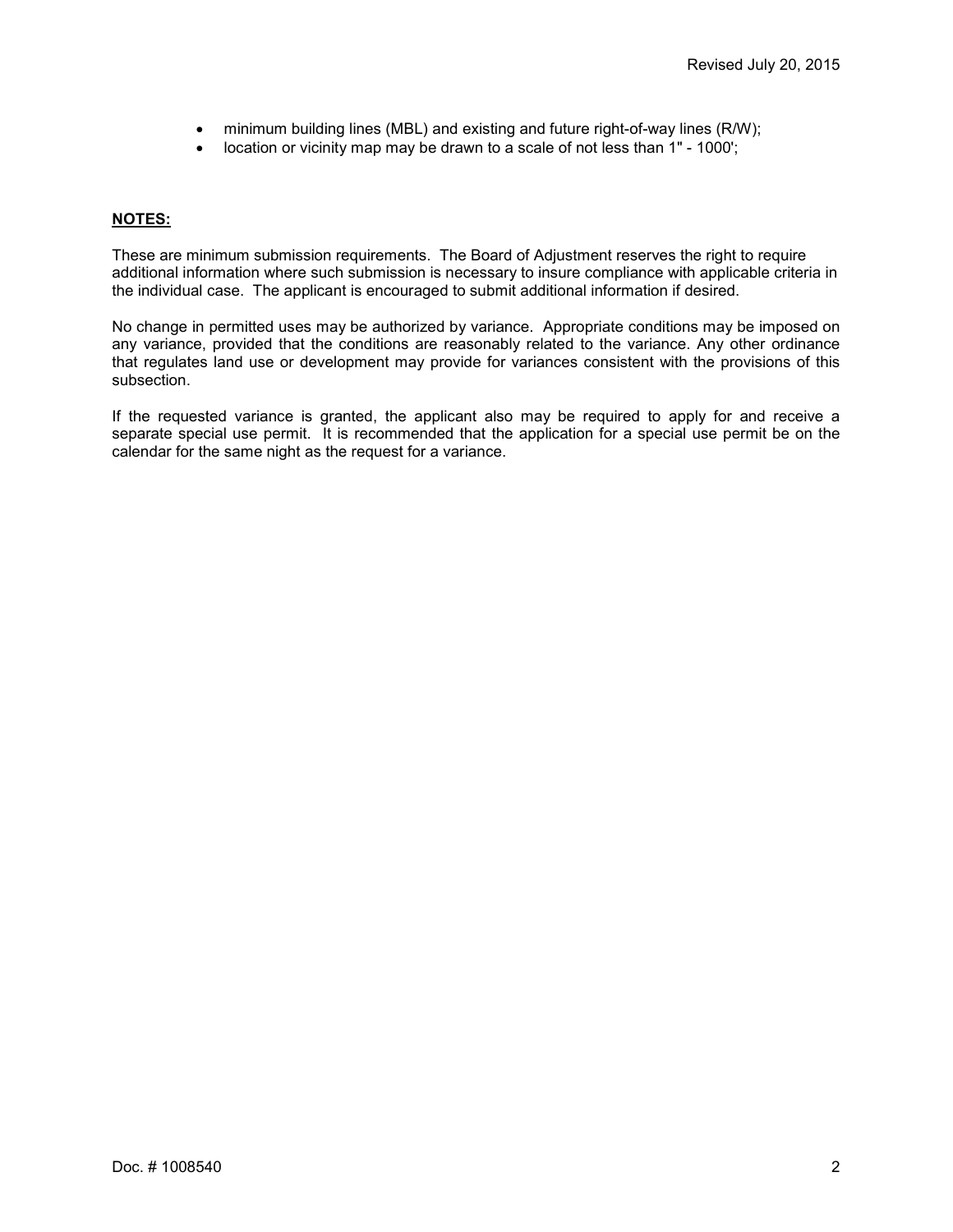- minimum building lines (MBL) and existing and future right-of-way lines (R/W);
- location or vicinity map may be drawn to a scale of not less than 1" 1000';

#### **NOTES:**

These are minimum submission requirements. The Board of Adjustment reserves the right to require additional information where such submission is necessary to insure compliance with applicable criteria in the individual case. The applicant is encouraged to submit additional information if desired.

No change in permitted uses may be authorized by variance. Appropriate conditions may be imposed on any variance, provided that the conditions are reasonably related to the variance. Any other ordinance that regulates land use or development may provide for variances consistent with the provisions of this subsection.

If the requested variance is granted, the applicant also may be required to apply for and receive a separate special use permit. It is recommended that the application for a special use permit be on the calendar for the same night as the request for a variance.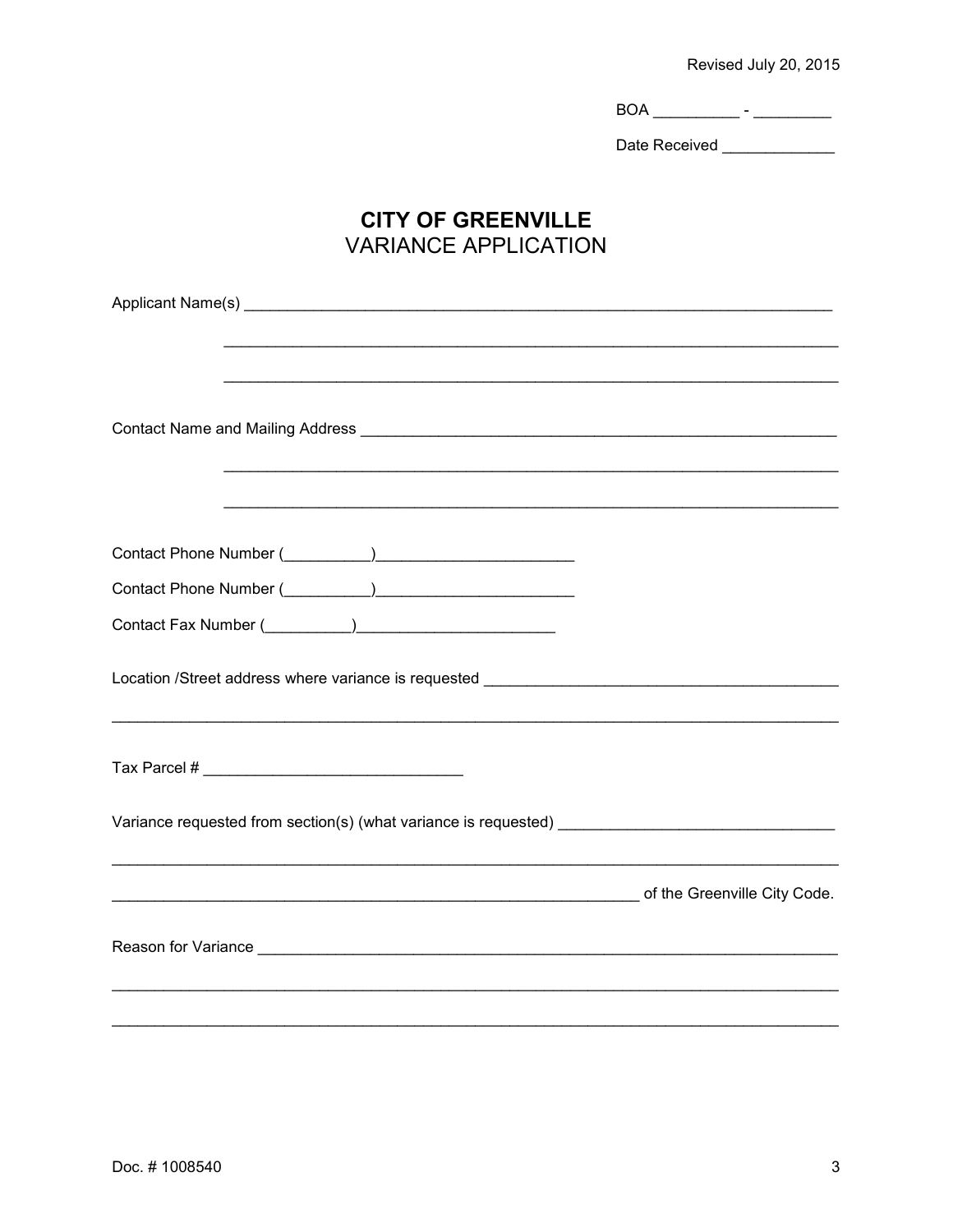Revised July 20, 2015

 $\begin{picture}(150,10) \put(0,0){\vector(1,0){100}} \put(15,0){\vector(1,0){100}} \put(15,0){\vector(1,0){100}} \put(15,0){\vector(1,0){100}} \put(15,0){\vector(1,0){100}} \put(15,0){\vector(1,0){100}} \put(15,0){\vector(1,0){100}} \put(15,0){\vector(1,0){100}} \put(15,0){\vector(1,0){100}} \put(15,0){\vector(1,0){100}} \put(15,0){\vector(1,0){100}}$ 

Date Received \_\_\_\_\_\_\_\_\_\_\_\_\_\_

## **CITY OF GREENVILLE VARIANCE APPLICATION**

| <u> 1990 - 1991 - 1992 - 1993 - 1994 - 1995 - 1996 - 1997 - 1998 - 1999 - 1999 - 1999 - 1999 - 1999 - 1999 - 199</u> |
|----------------------------------------------------------------------------------------------------------------------|
|                                                                                                                      |
|                                                                                                                      |
|                                                                                                                      |
|                                                                                                                      |
| Location /Street address where variance is requested ___________________________                                     |
|                                                                                                                      |
| Variance requested from section(s) (what variance is requested) ___________________________________                  |
| of the Greenville City Code.                                                                                         |
|                                                                                                                      |
|                                                                                                                      |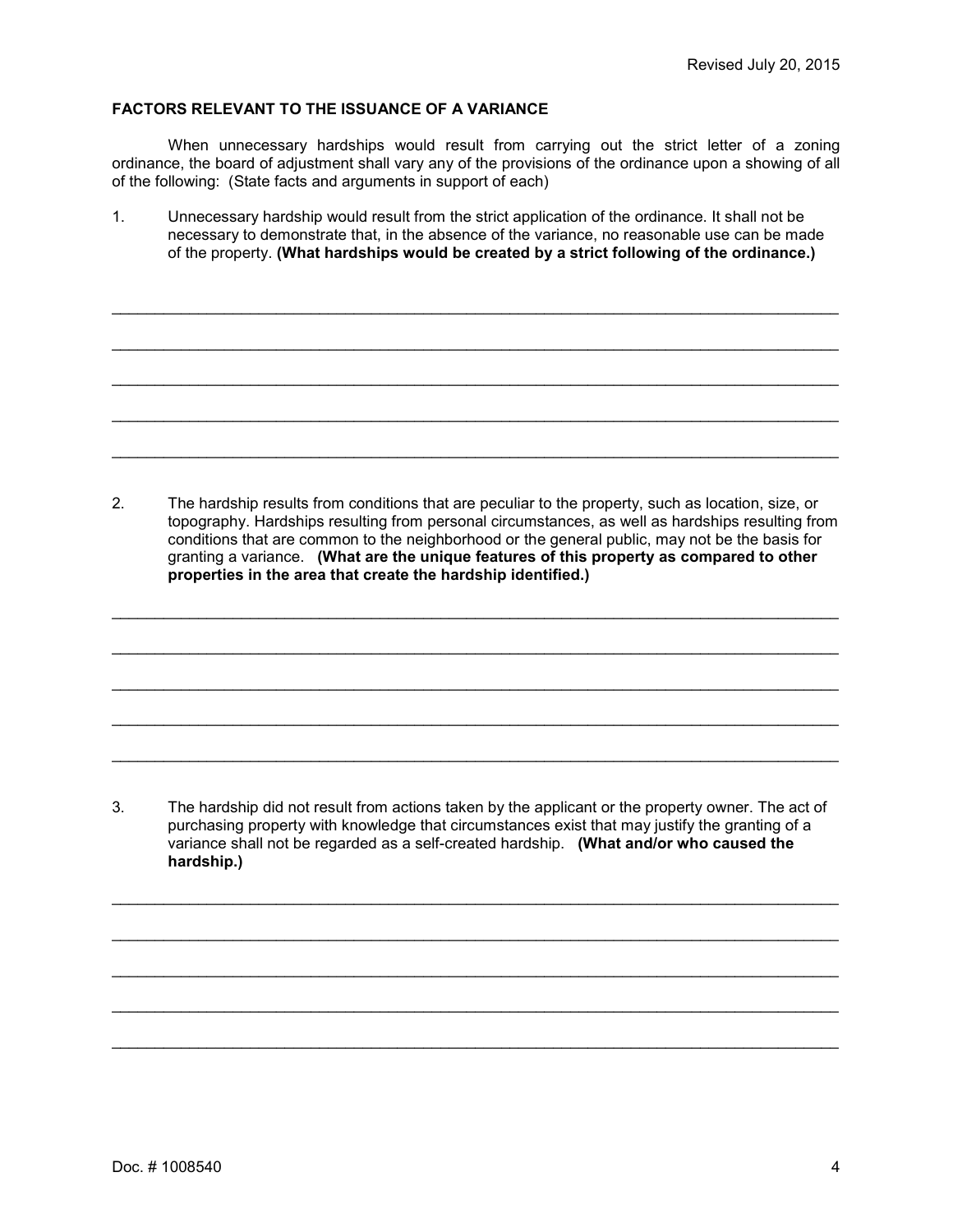#### **FACTORS RELEVANT TO THE ISSUANCE OF A VARIANCE**

When unnecessary hardships would result from carrying out the strict letter of a zoning ordinance, the board of adjustment shall vary any of the provisions of the ordinance upon a showing of all of the following: (State facts and arguments in support of each)

1. Unnecessary hardship would result from the strict application of the ordinance. It shall not be necessary to demonstrate that, in the absence of the variance, no reasonable use can be made of the property. **(What hardships would be created by a strict following of the ordinance.)**

\_\_\_\_\_\_\_\_\_\_\_\_\_\_\_\_\_\_\_\_\_\_\_\_\_\_\_\_\_\_\_\_\_\_\_\_\_\_\_\_\_\_\_\_\_\_\_\_\_\_\_\_\_\_\_\_\_\_\_\_\_\_\_\_\_\_\_\_\_\_\_\_\_\_\_\_\_\_\_\_\_\_\_\_

\_\_\_\_\_\_\_\_\_\_\_\_\_\_\_\_\_\_\_\_\_\_\_\_\_\_\_\_\_\_\_\_\_\_\_\_\_\_\_\_\_\_\_\_\_\_\_\_\_\_\_\_\_\_\_\_\_\_\_\_\_\_\_\_\_\_\_\_\_\_\_\_\_\_\_\_\_\_\_\_\_\_\_\_

\_\_\_\_\_\_\_\_\_\_\_\_\_\_\_\_\_\_\_\_\_\_\_\_\_\_\_\_\_\_\_\_\_\_\_\_\_\_\_\_\_\_\_\_\_\_\_\_\_\_\_\_\_\_\_\_\_\_\_\_\_\_\_\_\_\_\_\_\_\_\_\_\_\_\_\_\_\_\_\_\_\_\_\_

\_\_\_\_\_\_\_\_\_\_\_\_\_\_\_\_\_\_\_\_\_\_\_\_\_\_\_\_\_\_\_\_\_\_\_\_\_\_\_\_\_\_\_\_\_\_\_\_\_\_\_\_\_\_\_\_\_\_\_\_\_\_\_\_\_\_\_\_\_\_\_\_\_\_\_\_\_\_\_\_\_\_\_\_

\_\_\_\_\_\_\_\_\_\_\_\_\_\_\_\_\_\_\_\_\_\_\_\_\_\_\_\_\_\_\_\_\_\_\_\_\_\_\_\_\_\_\_\_\_\_\_\_\_\_\_\_\_\_\_\_\_\_\_\_\_\_\_\_\_\_\_\_\_\_\_\_\_\_\_\_\_\_\_\_\_\_\_\_

2. The hardship results from conditions that are peculiar to the property, such as location, size, or topography. Hardships resulting from personal circumstances, as well as hardships resulting from conditions that are common to the neighborhood or the general public, may not be the basis for granting a variance. **(What are the unique features of this property as compared to other properties in the area that create the hardship identified.)**

\_\_\_\_\_\_\_\_\_\_\_\_\_\_\_\_\_\_\_\_\_\_\_\_\_\_\_\_\_\_\_\_\_\_\_\_\_\_\_\_\_\_\_\_\_\_\_\_\_\_\_\_\_\_\_\_\_\_\_\_\_\_\_\_\_\_\_\_\_\_\_\_\_\_\_\_\_\_\_\_\_\_\_\_

\_\_\_\_\_\_\_\_\_\_\_\_\_\_\_\_\_\_\_\_\_\_\_\_\_\_\_\_\_\_\_\_\_\_\_\_\_\_\_\_\_\_\_\_\_\_\_\_\_\_\_\_\_\_\_\_\_\_\_\_\_\_\_\_\_\_\_\_\_\_\_\_\_\_\_\_\_\_\_\_\_\_\_\_

\_\_\_\_\_\_\_\_\_\_\_\_\_\_\_\_\_\_\_\_\_\_\_\_\_\_\_\_\_\_\_\_\_\_\_\_\_\_\_\_\_\_\_\_\_\_\_\_\_\_\_\_\_\_\_\_\_\_\_\_\_\_\_\_\_\_\_\_\_\_\_\_\_\_\_\_\_\_\_\_\_\_\_\_

\_\_\_\_\_\_\_\_\_\_\_\_\_\_\_\_\_\_\_\_\_\_\_\_\_\_\_\_\_\_\_\_\_\_\_\_\_\_\_\_\_\_\_\_\_\_\_\_\_\_\_\_\_\_\_\_\_\_\_\_\_\_\_\_\_\_\_\_\_\_\_\_\_\_\_\_\_\_\_\_\_\_\_\_

\_\_\_\_\_\_\_\_\_\_\_\_\_\_\_\_\_\_\_\_\_\_\_\_\_\_\_\_\_\_\_\_\_\_\_\_\_\_\_\_\_\_\_\_\_\_\_\_\_\_\_\_\_\_\_\_\_\_\_\_\_\_\_\_\_\_\_\_\_\_\_\_\_\_\_\_\_\_\_\_\_\_\_\_

3. The hardship did not result from actions taken by the applicant or the property owner. The act of purchasing property with knowledge that circumstances exist that may justify the granting of a variance shall not be regarded as a self-created hardship. **(What and/or who caused the hardship.)**

\_\_\_\_\_\_\_\_\_\_\_\_\_\_\_\_\_\_\_\_\_\_\_\_\_\_\_\_\_\_\_\_\_\_\_\_\_\_\_\_\_\_\_\_\_\_\_\_\_\_\_\_\_\_\_\_\_\_\_\_\_\_\_\_\_\_\_\_\_\_\_\_\_\_\_\_\_\_\_\_\_\_\_\_

\_\_\_\_\_\_\_\_\_\_\_\_\_\_\_\_\_\_\_\_\_\_\_\_\_\_\_\_\_\_\_\_\_\_\_\_\_\_\_\_\_\_\_\_\_\_\_\_\_\_\_\_\_\_\_\_\_\_\_\_\_\_\_\_\_\_\_\_\_\_\_\_\_\_\_\_\_\_\_\_\_\_\_\_

\_\_\_\_\_\_\_\_\_\_\_\_\_\_\_\_\_\_\_\_\_\_\_\_\_\_\_\_\_\_\_\_\_\_\_\_\_\_\_\_\_\_\_\_\_\_\_\_\_\_\_\_\_\_\_\_\_\_\_\_\_\_\_\_\_\_\_\_\_\_\_\_\_\_\_\_\_\_\_\_\_\_\_\_

\_\_\_\_\_\_\_\_\_\_\_\_\_\_\_\_\_\_\_\_\_\_\_\_\_\_\_\_\_\_\_\_\_\_\_\_\_\_\_\_\_\_\_\_\_\_\_\_\_\_\_\_\_\_\_\_\_\_\_\_\_\_\_\_\_\_\_\_\_\_\_\_\_\_\_\_\_\_\_\_\_\_\_\_

\_\_\_\_\_\_\_\_\_\_\_\_\_\_\_\_\_\_\_\_\_\_\_\_\_\_\_\_\_\_\_\_\_\_\_\_\_\_\_\_\_\_\_\_\_\_\_\_\_\_\_\_\_\_\_\_\_\_\_\_\_\_\_\_\_\_\_\_\_\_\_\_\_\_\_\_\_\_\_\_\_\_\_\_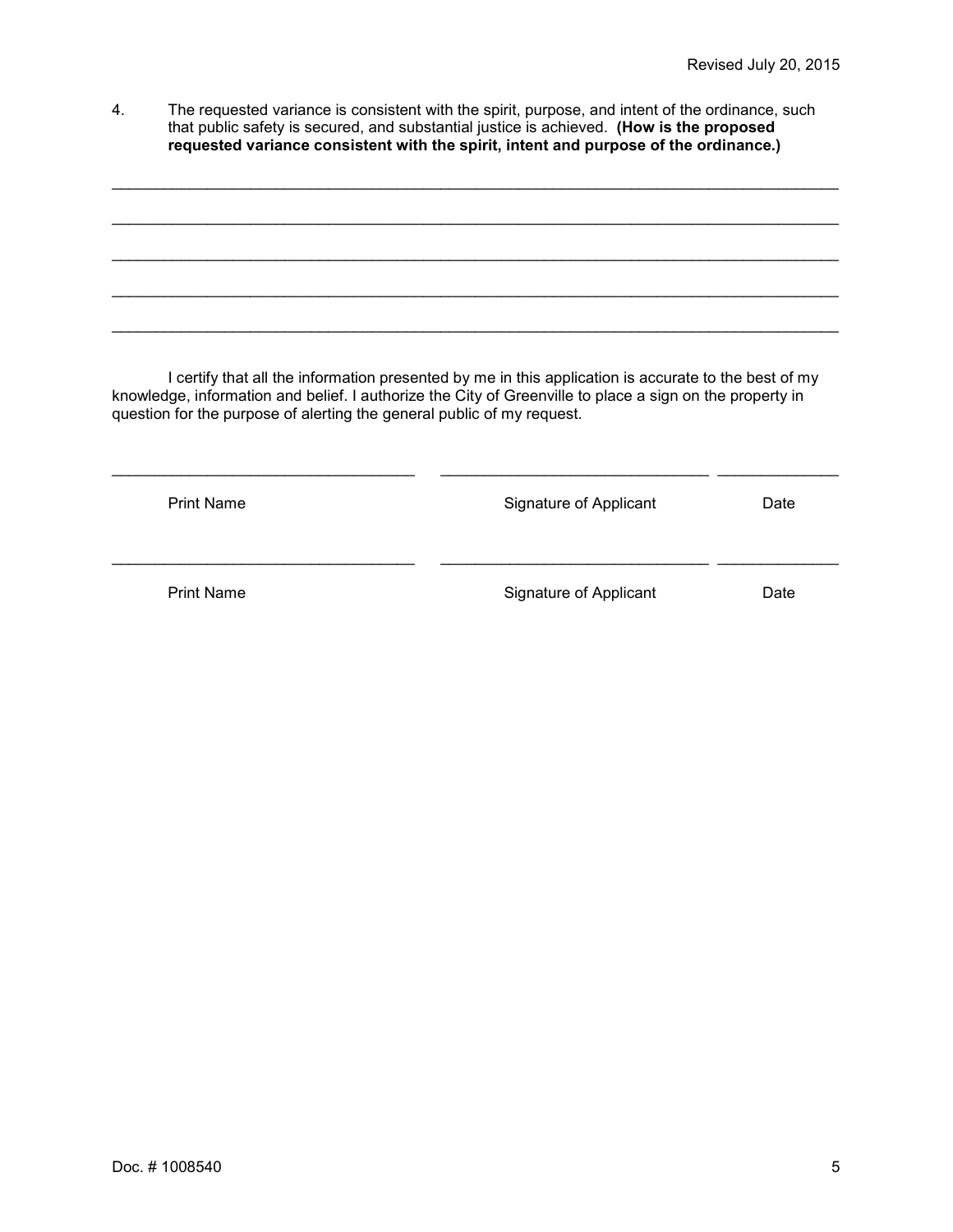4. The requested variance is consistent with the spirit, purpose, and intent of the ordinance, such that public safety is secured, and substantial justice is achieved. **(How is the proposed requested variance consistent with the spirit, intent and purpose of the ordinance.)**

\_\_\_\_\_\_\_\_\_\_\_\_\_\_\_\_\_\_\_\_\_\_\_\_\_\_\_\_\_\_\_\_\_\_\_\_\_\_\_\_\_\_\_\_\_\_\_\_\_\_\_\_\_\_\_\_\_\_\_\_\_\_\_\_\_\_\_\_\_\_\_\_\_\_\_\_\_\_\_\_\_\_\_\_

 $\_$  , and the set of the set of the set of the set of the set of the set of the set of the set of the set of the set of the set of the set of the set of the set of the set of the set of the set of the set of the set of th

\_\_\_\_\_\_\_\_\_\_\_\_\_\_\_\_\_\_\_\_\_\_\_\_\_\_\_\_\_\_\_\_\_\_\_\_\_\_\_\_\_\_\_\_\_\_\_\_\_\_\_\_\_\_\_\_\_\_\_\_\_\_\_\_\_\_\_\_\_\_\_\_\_\_\_\_\_\_\_\_\_\_\_\_

\_\_\_\_\_\_\_\_\_\_\_\_\_\_\_\_\_\_\_\_\_\_\_\_\_\_\_\_\_\_\_\_\_\_\_\_\_\_\_\_\_\_\_\_\_\_\_\_\_\_\_\_\_\_\_\_\_\_\_\_\_\_\_\_\_\_\_\_\_\_\_\_\_\_\_\_\_\_\_\_\_\_\_\_

\_\_\_\_\_\_\_\_\_\_\_\_\_\_\_\_\_\_\_\_\_\_\_\_\_\_\_\_\_\_\_\_\_\_\_\_\_\_\_\_\_\_\_\_\_\_\_\_\_\_\_\_\_\_\_\_\_\_\_\_\_\_\_\_\_\_\_\_\_\_\_\_\_\_\_\_\_\_\_\_\_\_\_\_

I certify that all the information presented by me in this application is accurate to the best of my knowledge, information and belief. I authorize the City of Greenville to place a sign on the property in question for the purpose of alerting the general public of my request.

| <b>Print Name</b> | Signature of Applicant | Date |
|-------------------|------------------------|------|
| <b>Print Name</b> | Signature of Applicant | Date |